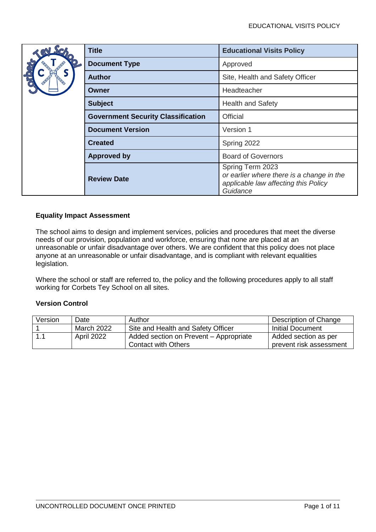| <b>Title</b>                              | <b>Educational Visits Policy</b>                                                                                  |
|-------------------------------------------|-------------------------------------------------------------------------------------------------------------------|
| <b>Document Type</b>                      | Approved                                                                                                          |
| <b>Author</b>                             | Site, Health and Safety Officer                                                                                   |
| Owner                                     | Headteacher                                                                                                       |
| <b>Subject</b>                            | <b>Health and Safety</b>                                                                                          |
| <b>Government Security Classification</b> | <b>Official</b>                                                                                                   |
| <b>Document Version</b>                   | Version 1                                                                                                         |
| <b>Created</b>                            | Spring 2022                                                                                                       |
| <b>Approved by</b>                        | <b>Board of Governors</b>                                                                                         |
| <b>Review Date</b>                        | Spring Term 2023<br>or earlier where there is a change in the<br>applicable law affecting this Policy<br>Guidance |

### **Equality Impact Assessment**

The school aims to design and implement services, policies and procedures that meet the diverse needs of our provision, population and workforce, ensuring that none are placed at an unreasonable or unfair disadvantage over others. We are confident that this policy does not place anyone at an unreasonable or unfair disadvantage, and is compliant with relevant equalities legislation.

Where the school or staff are referred to, the policy and the following procedures apply to all staff working for Corbets Tey School on all sites.

### **Version Control**

| Version | Date       | Author                                 | Description of Change   |
|---------|------------|----------------------------------------|-------------------------|
|         | March 2022 | Site and Health and Safety Officer     | <b>Initial Document</b> |
| $-1.1$  | April 2022 | Added section on Prevent – Appropriate | Added section as per    |
|         |            | <b>Contact with Others</b>             | prevent risk assessment |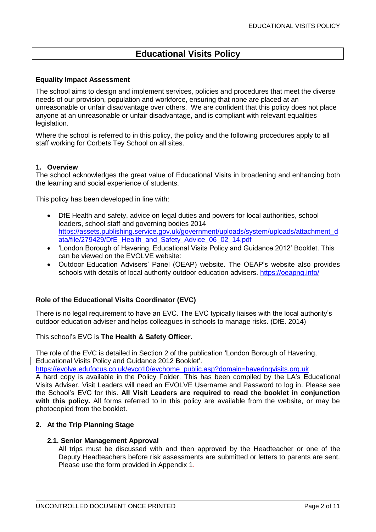# **Educational Visits Policy**

### **Equality Impact Assessment**

The school aims to design and implement services, policies and procedures that meet the diverse needs of our provision, population and workforce, ensuring that none are placed at an unreasonable or unfair disadvantage over others. We are confident that this policy does not place anyone at an unreasonable or unfair disadvantage, and is compliant with relevant equalities legislation.

Where the school is referred to in this policy, the policy and the following procedures apply to all staff working for Corbets Tey School on all sites.

### **1. Overview**

The school acknowledges the great value of Educational Visits in broadening and enhancing both the learning and social experience of students.

This policy has been developed in line with:

- DfE Health and safety, advice on legal duties and powers for local authorities, school leaders, school staff and governing bodies 2014 [https://assets.publishing.service.gov.uk/government/uploads/system/uploads/attachment\\_d](https://assets.publishing.service.gov.uk/government/uploads/system/uploads/attachment_data/file/279429/DfE_Health_and_Safety_Advice_06_02_14.pdf) [ata/file/279429/DfE\\_Health\\_and\\_Safety\\_Advice\\_06\\_02\\_14.pdf](https://assets.publishing.service.gov.uk/government/uploads/system/uploads/attachment_data/file/279429/DfE_Health_and_Safety_Advice_06_02_14.pdf)
- 'London Borough of Havering, Educational Visits Policy and Guidance 2012' Booklet. This can be viewed on the EVOLVE website:
- Outdoor Education Advisers' Panel (OEAP) website. The OEAP's website also provides schools with details of local authority outdoor education advisers. <https://oeapng.info/>

### **Role of the Educational Visits Coordinator (EVC)**

There is no legal requirement to have an EVC. The EVC typically liaises with the local authority's outdoor education adviser and helps colleagues in schools to manage risks. (DfE. 2014)

This school's EVC is **The Health & Safety Officer.**

The role of the EVC is detailed in Section 2 of the publication 'London Borough of Havering, Educational Visits Policy and Guidance 2012 Booklet'.

[https://evolve.edufocus.co.uk/evco10/evchome\\_public.asp?domain=haveringvisits.org.uk](https://evolve.edufocus.co.uk/evco10/evchome_public.asp?domain=haveringvisits.org.uk)

A hard copy is available in the Policy Folder. This has been compiled by the LA's Educational Visits Adviser. Visit Leaders will need an EVOLVE Username and Password to log in. Please see the School's EVC for this. **All Visit Leaders are required to read the booklet in conjunction with this policy.** All forms referred to in this policy are available from the website, or may be photocopied from the booklet.

### **2. At the Trip Planning Stage**

### **2.1. Senior Management Approval**

All trips must be discussed with and then approved by the Headteacher or one of the Deputy Headteachers before risk assessments are submitted or letters to parents are sent. Please use the form provided in Appendix 1.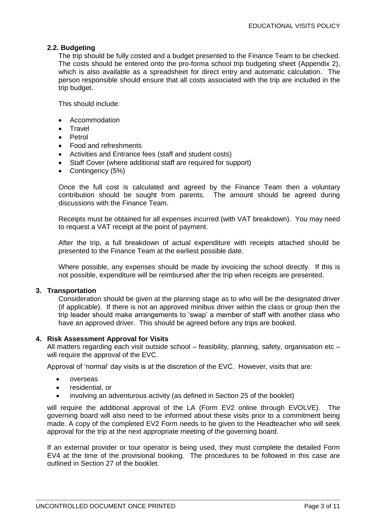### **2.2. Budgeting**

The trip should be fully costed and a budget presented to the Finance Team to be checked. The costs should be entered onto the pro-forma school trip budgeting sheet (Appendix 2), which is also available as a spreadsheet for direct entry and automatic calculation. The person responsible should ensure that all costs associated with the trip are included in the trip budget.

This should include:

- Accommodation
- **Travel**
- **•** Petrol
- Food and refreshments
- Activities and Entrance fees (staff and student costs)
- Staff Cover (where additional staff are required for support)
- Contingency (5%)

Once the full cost is calculated and agreed by the Finance Team then a voluntary contribution should be sought from parents. The amount should be agreed during discussions with the Finance Team.

Receipts must be obtained for all expenses incurred (with VAT breakdown). You may need to request a VAT receipt at the point of payment.

After the trip, a full breakdown of actual expenditure with receipts attached should be presented to the Finance Team at the earliest possible date.

Where possible, any expenses should be made by invoicing the school directly. If this is not possible, expenditure will be reimbursed after the trip when receipts are presented.

### **3. Transportation**

Consideration should be given at the planning stage as to who will be the designated driver (if applicable). If there is not an approved minibus driver within the class or group then the trip leader should make arrangements to 'swap' a member of staff with another class who have an approved driver. This should be agreed before any trips are booked.

#### **4. Risk Assessment Approval for Visits**

All matters regarding each visit outside school – feasibility, planning, safety, organisation etc – will require the approval of the EVC.

Approval of 'normal' day visits is at the discretion of the EVC. However, visits that are:

- overseas
- residential, or
- involving an adventurous activity (as defined in Section 25 of the booklet)

will require the additional approval of the LA (Form EV2 online through EVOLVE). The governing board will also need to be informed about these visits prior to a commitment being made. A copy of the completed EV2 Form needs to be given to the Headteacher who will seek approval for the trip at the next appropriate meeting of the governing board.

If an external provider or tour operator is being used, they must complete the detailed Form EV4 at the time of the provisional booking. The procedures to be followed in this case are outlined in Section 27 of the booklet.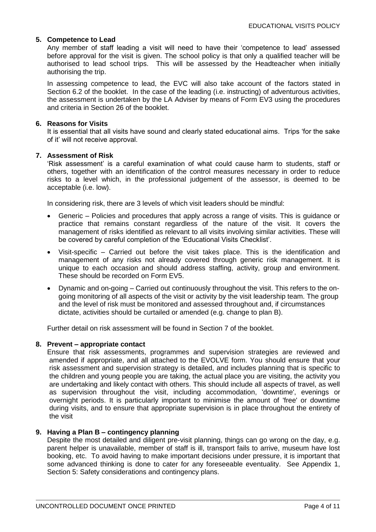### **5. Competence to Lead**

Any member of staff leading a visit will need to have their 'competence to lead' assessed before approval for the visit is given. The school policy is that only a qualified teacher will be authorised to lead school trips. This will be assessed by the Headteacher when initially authorising the trip.

In assessing competence to lead, the EVC will also take account of the factors stated in Section 6.2 of the booklet. In the case of the leading (i.e. instructing) of adventurous activities, the assessment is undertaken by the LA Adviser by means of Form EV3 using the procedures and criteria in Section 26 of the booklet.

### **6. Reasons for Visits**

It is essential that all visits have sound and clearly stated educational aims. Trips 'for the sake of it' will not receive approval.

### **7. Assessment of Risk**

'Risk assessment' is a careful examination of what could cause harm to students, staff or others, together with an identification of the control measures necessary in order to reduce risks to a level which, in the professional judgement of the assessor, is deemed to be acceptable (i.e. low).

In considering risk, there are 3 levels of which visit leaders should be mindful:

- Generic Policies and procedures that apply across a range of visits. This is guidance or practice that remains constant regardless of the nature of the visit. It covers the management of risks identified as relevant to all visits involving similar activities. These will be covered by careful completion of the 'Educational Visits Checklist'.
- Visit-specific Carried out before the visit takes place. This is the identification and management of any risks not already covered through generic risk management. It is unique to each occasion and should address staffing, activity, group and environment. These should be recorded on Form EV5.
- Dynamic and on-going Carried out continuously throughout the visit. This refers to the ongoing monitoring of all aspects of the visit or activity by the visit leadership team. The group and the level of risk must be monitored and assessed throughout and, if circumstances dictate, activities should be curtailed or amended (e.g. change to plan B).

Further detail on risk assessment will be found in Section 7 of the booklet.

#### **8. Prevent – appropriate contact**

Ensure that risk assessments, programmes and supervision strategies are reviewed and amended if appropriate, and all attached to the EVOLVE form. You should ensure that your risk assessment and supervision strategy is detailed, and includes planning that is specific to the children and young people you are taking, the actual place you are visiting, the activity you are undertaking and likely contact with others. This should include all aspects of travel, as well as supervision throughout the visit, including accommodation, 'downtime', evenings or overnight periods. It is particularly important to minimise the amount of 'free' or downtime during visits, and to ensure that appropriate supervision is in place throughout the entirety of the visit

### **9. Having a Plan B – contingency planning**

Despite the most detailed and diligent pre-visit planning, things can go wrong on the day, e.g. parent helper is unavailable, member of staff is ill, transport fails to arrive, museum have lost booking, etc. To avoid having to make important decisions under pressure, it is important that some advanced thinking is done to cater for any foreseeable eventuality. See Appendix 1, Section 5: Safety considerations and contingency plans.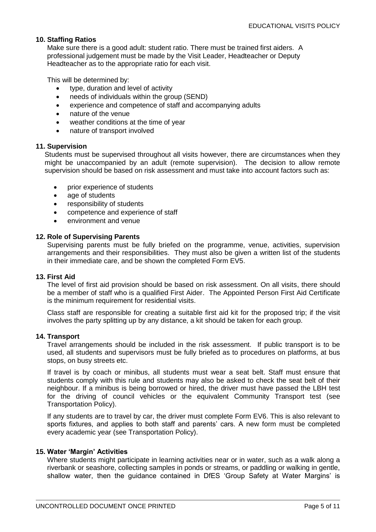### **10. Staffing Ratios**

Make sure there is a good adult: student ratio. There must be trained first aiders. A professional judgement must be made by the Visit Leader, Headteacher or Deputy Headteacher as to the appropriate ratio for each visit.

This will be determined by:

- type, duration and level of activity
- needs of individuals within the group (SEND)
- experience and competence of staff and accompanying adults
- nature of the venue
- weather conditions at the time of year
- nature of transport involved

### **11. Supervision**

Students must be supervised throughout all visits however, there are circumstances when they might be unaccompanied by an adult (remote supervision). The decision to allow remote supervision should be based on risk assessment and must take into account factors such as:

- prior experience of students
- age of students
- responsibility of students
- competence and experience of staff
- environment and venue

### **12. Role of Supervising Parents**

Supervising parents must be fully briefed on the programme, venue, activities, supervision arrangements and their responsibilities. They must also be given a written list of the students in their immediate care, and be shown the completed Form EV5.

#### **13. First Aid**

The level of first aid provision should be based on risk assessment. On all visits, there should be a member of staff who is a qualified First Aider. The Appointed Person First Aid Certificate is the minimum requirement for residential visits.

Class staff are responsible for creating a suitable first aid kit for the proposed trip; if the visit involves the party splitting up by any distance, a kit should be taken for each group.

#### **14. Transport**

Travel arrangements should be included in the risk assessment. If public transport is to be used, all students and supervisors must be fully briefed as to procedures on platforms, at bus stops, on busy streets etc.

If travel is by coach or minibus, all students must wear a seat belt. Staff must ensure that students comply with this rule and students may also be asked to check the seat belt of their neighbour. If a minibus is being borrowed or hired, the driver must have passed the LBH test for the driving of council vehicles or the equivalent Community Transport test (see Transportation Policy).

If any students are to travel by car, the driver must complete Form EV6. This is also relevant to sports fixtures, and applies to both staff and parents' cars. A new form must be completed every academic year (see Transportation Policy).

### **15. Water 'Margin' Activities**

Where students might participate in learning activities near or in water, such as a walk along a riverbank or seashore, collecting samples in ponds or streams, or paddling or walking in gentle, shallow water, then the guidance contained in DfES 'Group Safety at Water Margins' is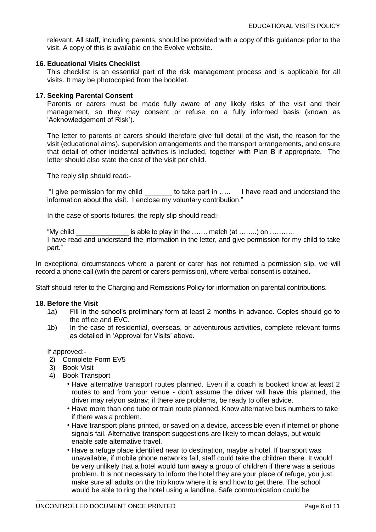relevant. All staff, including parents, should be provided with a copy of this guidance prior to the visit. A copy of this is available on the Evolve website.

### **16. Educational Visits Checklist**

This checklist is an essential part of the risk management process and is applicable for all visits. It may be photocopied from the booklet.

### **17. Seeking Parental Consent**

Parents or carers must be made fully aware of any likely risks of the visit and their management, so they may consent or refuse on a fully informed basis (known as 'Acknowledgement of Risk').

The letter to parents or carers should therefore give full detail of the visit, the reason for the visit (educational aims), supervision arrangements and the transport arrangements, and ensure that detail of other incidental activities is included, together with Plan B if appropriate. The letter should also state the cost of the visit per child.

The reply slip should read:-

"I give permission for my child \_\_\_\_\_\_\_ to take part in ….. I have read and understand the information about the visit. I enclose my voluntary contribution."

In the case of sports fixtures, the reply slip should read:-

"My child  $\blacksquare$  is able to play in the ……. match (at  $\ldots$ …..) on  $\ldots$ …....

I have read and understand the information in the letter, and give permission for my child to take part."

In exceptional circumstances where a parent or carer has not returned a permission slip, we will record a phone call (with the parent or carers permission), where verbal consent is obtained.

Staff should refer to the Charging and Remissions Policy for information on parental contributions.

### **18. Before the Visit**

- 1a) Fill in the school's preliminary form at least 2 months in advance. Copies should go to the office and EVC.
- 1b) In the case of residential, overseas, or adventurous activities, complete relevant forms as detailed in 'Approval for Visits' above.

If approved:-

- 2) Complete Form EV5
- 3) Book Visit
- 4) Book Transport
	- Have alternative transport routes planned. Even if a coach is booked know at least 2 routes to and from your venue - don't assume the driver will have this planned, the driver may relyon satnav; if there are problems, be ready to offer advice.
	- Have more than one tube or train route planned. Know alternative bus numbers to take if there was a problem.
	- Have transport plans printed, or saved on a device, accessible even if internet or phone signals fail. Alternative transport suggestions are likely to mean delays, but would enable safe alternative travel.
	- Have a refuge place identified near to destination, maybe a hotel. If transport was unavailable, if mobile phone networks fail, staff could take the children there. It would be very unlikely that a hotel would turn away a group of children if there was a serious problem. It is not necessary to inform the hotel they are your place of refuge, you just make sure all adults on the trip know where it is and how to get there. The school would be able to ring the hotel using a landline. Safe communication could be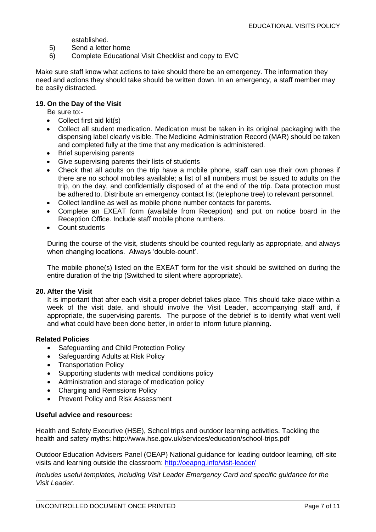established.

- 5) Send a letter home
- 6) Complete Educational Visit Checklist and copy to EVC

Make sure staff know what actions to take should there be an emergency. The information they need and actions they should take should be written down. In an emergency, a staff member may be easily distracted.

#### **19. On the Day of the Visit**

Be sure to:-

- Collect first aid kit(s)
- Collect all student medication. Medication must be taken in its original packaging with the dispensing label clearly visible. The Medicine Administration Record (MAR) should be taken and completed fully at the time that any medication is administered.
- Brief supervising parents
- Give supervising parents their lists of students
- Check that all adults on the trip have a mobile phone, staff can use their own phones if there are no school mobiles available; a list of all numbers must be issued to adults on the trip, on the day, and confidentially disposed of at the end of the trip. Data protection must be adhered to. Distribute an emergency contact list (telephone tree) to relevant personnel.
- Collect landline as well as mobile phone number contacts for parents.
- Complete an EXEAT form (available from Reception) and put on notice board in the Reception Office. Include staff mobile phone numbers.
- Count students

During the course of the visit, students should be counted regularly as appropriate, and always when changing locations. Always 'double-count'.

The mobile phone(s) listed on the EXEAT form for the visit should be switched on during the entire duration of the trip (Switched to silent where appropriate).

#### **20. After the Visit**

It is important that after each visit a proper debrief takes place. This should take place within a week of the visit date, and should involve the Visit Leader, accompanying staff and, if appropriate, the supervising parents. The purpose of the debrief is to identify what went well and what could have been done better, in order to inform future planning.

#### **Related Policies**

- Safeguarding and Child Protection Policy
- Safeguarding Adults at Risk Policy
- Transportation Policy
- Supporting students with medical conditions policy
- Administration and storage of medication policy
- Charging and Remssions Policy
- Prevent Policy and Risk Assessment

### **Useful advice and resources:**

Health and Safety Executive (HSE), School trips and outdoor learning activities. Tackling the health and safety myths:<http://www.hse.gov.uk/services/education/school-trips.pdf>

Outdoor Education Advisers Panel (OEAP) National guidance for leading outdoor learning, off-site visits and learning outside the classroom:<http://oeapng.info/visit-leader/>

*Includes useful templates, including Visit Leader Emergency Card and specific guidance for the Visit Leader.*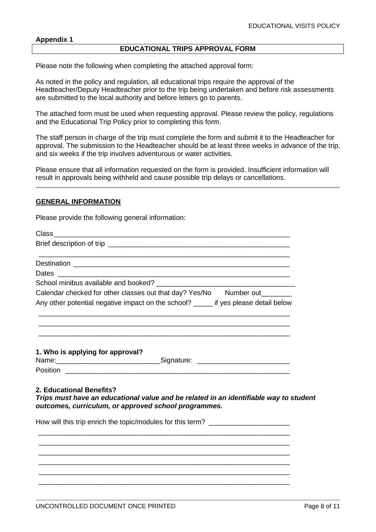#### **Appendix 1**

#### **EDUCATIONAL TRIPS APPROVAL FORM**

Please note the following when completing the attached approval form:

As noted in the policy and regulation, all educational trips require the approval of the Headteacher/Deputy Headteacher prior to the trip being undertaken and before risk assessments are submitted to the local authority and before letters go to parents.

The attached form must be used when requesting approval. Please review the policy, regulations and the Educational Trip Policy prior to completing this form.

The staff person in charge of the trip must complete the form and submit it to the Headteacher for approval. The submission to the Headteacher should be at least three weeks in advance of the trip, and six weeks if the trip involves adventurous or water activities.

Please ensure that all information requested on the form is provided. Insufficient information will result in approvals being withheld and cause possible trip delays or cancellations.

### **GENERAL INFORMATION**

Please provide the following general information:

| Class ________                                                                                                                                                            |  |
|---------------------------------------------------------------------------------------------------------------------------------------------------------------------------|--|
|                                                                                                                                                                           |  |
|                                                                                                                                                                           |  |
|                                                                                                                                                                           |  |
|                                                                                                                                                                           |  |
| Calendar checked for other classes out that day? Yes/No Number out________                                                                                                |  |
| Any other potential negative impact on the school? _____ if yes please detail below                                                                                       |  |
|                                                                                                                                                                           |  |
| 1. Who is applying for approval?<br>Name: __________________________________Signature: _____________________________                                                      |  |
|                                                                                                                                                                           |  |
| 2. Educational Benefits?<br>Trips must have an educational value and be related in an identifiable way to student<br>outcomes, curriculum, or approved school programmes. |  |
| How will this trip enrich the topic/modules for this term? _____________________                                                                                          |  |
|                                                                                                                                                                           |  |
|                                                                                                                                                                           |  |
|                                                                                                                                                                           |  |
|                                                                                                                                                                           |  |
|                                                                                                                                                                           |  |
|                                                                                                                                                                           |  |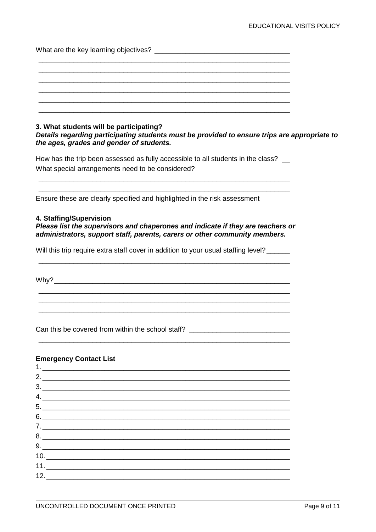#### 3. What students will be participating? Details regarding participating students must be provided to ensure trips are appropriate to the ages, grades and gender of students.

How has the trip been assessed as fully accessible to all students in the class? \_ What special arrangements need to be considered?

Ensure these are clearly specified and highlighted in the risk assessment

### 4. Staffing/Supervision

Please list the supervisors and chaperones and indicate if they are teachers or administrators, support staff, parents, carers or other community members.

Will this trip require extra staff cover in addition to your usual staffing level?

Why?

Can this be covered from within the school staff?

### **Emergency Contact List**

| 2.                                                                                                                                                                                                                                                                                                                                                                                                 |  |
|----------------------------------------------------------------------------------------------------------------------------------------------------------------------------------------------------------------------------------------------------------------------------------------------------------------------------------------------------------------------------------------------------|--|
| $\begin{array}{c}\n3.\n\end{array}$                                                                                                                                                                                                                                                                                                                                                                |  |
| 4.                                                                                                                                                                                                                                                                                                                                                                                                 |  |
| $\begin{array}{c}\n5.\n\end{array}$                                                                                                                                                                                                                                                                                                                                                                |  |
| $\begin{tabular}{ c c c c } \hline \rule{0.3cm}{.03cm} \textbf{6.} & \textbf{9.} & \textbf{1.} & \textbf{1.} & \textbf{1.} \\ \hline \rule{0.3cm}{.03cm} \textbf{6.} & \textbf{1.} & \textbf{1.} & \textbf{1.} & \textbf{1.} \\ \hline \rule{0.3cm}{.03cm} \textbf{7.} & \textbf{1.} & \textbf{1.} & \textbf{1.} & \textbf{1.} \\ \hline \rule{0.3cm}{.03cm} \textbf{8.} & \textbf{1.} & \textbf{$ |  |
|                                                                                                                                                                                                                                                                                                                                                                                                    |  |
| 8.                                                                                                                                                                                                                                                                                                                                                                                                 |  |
| 9.                                                                                                                                                                                                                                                                                                                                                                                                 |  |
|                                                                                                                                                                                                                                                                                                                                                                                                    |  |
|                                                                                                                                                                                                                                                                                                                                                                                                    |  |
| 12.                                                                                                                                                                                                                                                                                                                                                                                                |  |
|                                                                                                                                                                                                                                                                                                                                                                                                    |  |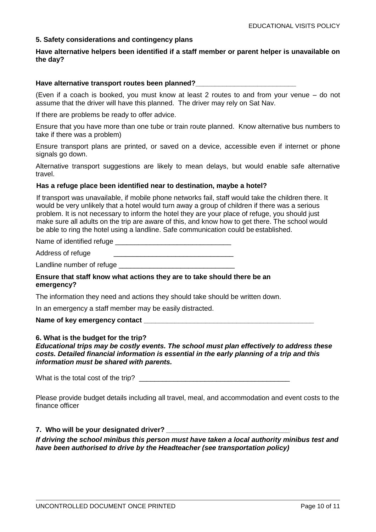### **5. Safety considerations and contingency plans**

### **Have alternative helpers been identified if a staff member or parent helper is unavailable on the day?**

#### **Have alternative transport routes been planned?\_\_\_\_\_\_\_\_\_\_\_\_\_\_\_\_\_\_\_\_\_\_\_\_\_\_**

(Even if a coach is booked, you must know at least 2 routes to and from your venue – do not assume that the driver will have this planned. The driver may rely on Sat Nav.

If there are problems be ready to offer advice.

Ensure that you have more than one tube or train route planned. Know alternative bus numbers to take if there was a problem)

Ensure transport plans are printed, or saved on a device, accessible even if internet or phone signals go down.

Alternative transport suggestions are likely to mean delays, but would enable safe alternative travel.

#### **Has a refuge place been identified near to destination, maybe a hotel?**

If transport was unavailable, if mobile phone networks fail, staff would take the children there. It would be very unlikely that a hotel would turn away a group of children if there was a serious problem. It is not necessary to inform the hotel they are your place of refuge, you should just make sure all adults on the trip are aware of this, and know how to get there. The school would be able to ring the hotel using a landline. Safe communication could be established.

Name of identified refuge \_\_\_\_\_\_\_\_\_\_\_\_\_\_\_\_\_\_\_\_\_\_\_\_\_\_\_\_\_\_

Address of refuge

Landline number of refuge

### **Ensure that staff know what actions they are to take should there be an emergency?**

The information they need and actions they should take should be written down.

In an emergency a staff member may be easily distracted.

#### Name of key emergency contact

#### **6. What is the budget for the trip?**

*Educational trips may be costly events. The school must plan effectively to address these costs. Detailed financial information is essential in the early planning of a trip and this information must be shared with parents.* 

What is the total cost of the trip?

Please provide budget details including all travel, meal, and accommodation and event costs to the finance officer

#### **7. Who will be your designated driver? \_\_\_\_\_\_\_\_\_\_\_\_\_\_\_\_\_\_\_\_\_\_\_\_\_\_\_\_\_\_\_\_**

*If driving the school minibus this person must have taken a local authority minibus test and have been authorised to drive by the Headteacher (see transportation policy)*